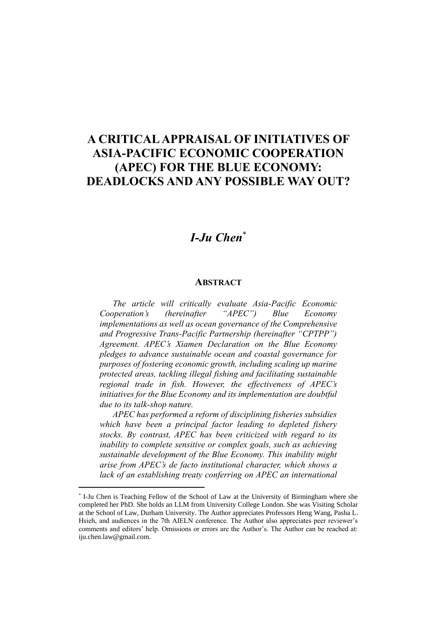## **A CRITICAL APPRAISAL OF INITIATIVES OF ASIA-PACIFIC ECONOMIC COOPERATION (APEC) FOR THE BLUE ECONOMY: DEADLOCKS AND ANY POSSIBLE WAY OUT?**

## *I-Ju Chen*\*

## **ABSTRACT**

*The article will critically evaluate Asia-Pacific Economic Cooperation's (hereinafter "APEC") Blue Economy implementations as well as ocean governance of the Comprehensive and Progressive Trans-Pacific Partnership (hereinafter "CPTPP") Agreement. APEC's Xiamen Declaration on the Blue Economy pledges to advance sustainable ocean and coastal governance for purposes of fostering economic growth, including scaling up marine protected areas, tackling illegal fishing and facilitating sustainable regional trade in fish. However, the effectiveness of APEC's initiatives for the Blue Economy and its implementation are doubtful due to its talk-shop nature.* 

*APEC has performed a reform of disciplining fisheries subsidies which have been a principal factor leading to depleted fishery stocks. By contrast, APEC has been criticized with regard to its inability to complete sensitive or complex goals, such as achieving sustainable development of the Blue Economy. This inability might arise from APEC's de facto institutional character, which shows a lack of an establishing treaty conferring on APEC an international* 

<sup>\*</sup> I-Ju Chen is Teaching Fellow of the School of Law at the University of Birmingham where she completed her PhD. She holds an LLM from University College London. She was Visiting Scholar at the School of Law, Durham University. The Author appreciates Professors Heng Wang, Pasha L. Hsieh, and audiences in the 7th AIELN conference. The Author also appreciates peer reviewer's comments and editors' help. Omissions or errors are the Author's. The Author can be reached at: iju.chen.law@gmail.com.